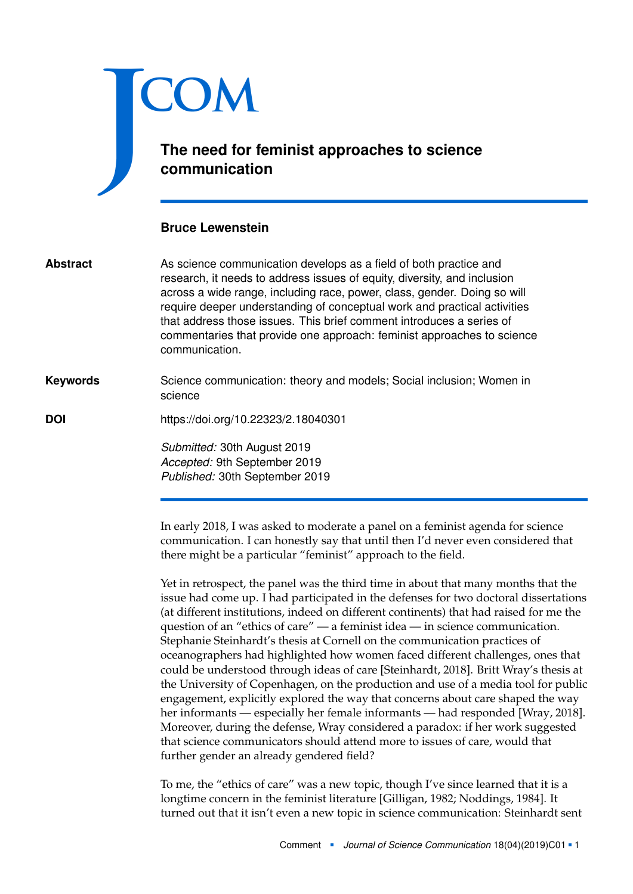

## **The need for feminist approaches to science communication**

## **Bruce Lewenstein**

| <b>Abstract</b> | As science communication develops as a field of both practice and<br>research, it needs to address issues of equity, diversity, and inclusion<br>across a wide range, including race, power, class, gender. Doing so will<br>require deeper understanding of conceptual work and practical activities<br>that address those issues. This brief comment introduces a series of<br>commentaries that provide one approach: feminist approaches to science<br>communication. |
|-----------------|---------------------------------------------------------------------------------------------------------------------------------------------------------------------------------------------------------------------------------------------------------------------------------------------------------------------------------------------------------------------------------------------------------------------------------------------------------------------------|
| <b>Keywords</b> | Science communication: theory and models; Social inclusion; Women in<br>science                                                                                                                                                                                                                                                                                                                                                                                           |
| <b>DOI</b>      | https://doi.org/10.22323/2.18040301                                                                                                                                                                                                                                                                                                                                                                                                                                       |
|                 | Submitted: 30th August 2019                                                                                                                                                                                                                                                                                                                                                                                                                                               |

*Submitted:* 30th August 2019 *Accepted:* 9th September 2019 *Published:* 30th September 2019

In early 2018, I was asked to moderate a panel on a feminist agenda for science communication. I can honestly say that until then I'd never even considered that there might be a particular "feminist" approach to the field.

Yet in retrospect, the panel was the third time in about that many months that the issue had come up. I had participated in the defenses for two doctoral dissertations (at different institutions, indeed on different continents) that had raised for me the question of an "ethics of care" — a feminist idea — in science communication. Stephanie Steinhardt's thesis at Cornell on the communication practices of oceanographers had highlighted how women faced different challenges, ones that could be understood through ideas of care [Steinhardt, [2018\]](#page-3-0). Britt Wray's thesis at the University of Copenhagen, on the production and use of a media tool for public engagement, explicitly explored the way that concerns about care shaped the way her informants — especially her female informants — had responded [Wray, [2018\]](#page-4-0). Moreover, during the defense, Wray considered a paradox: if her work suggested that science communicators should attend more to issues of care, would that further gender an already gendered field?

To me, the "ethics of care" was a new topic, though I've since learned that it is a longtime concern in the feminist literature [Gilligan, [1982;](#page-3-1) Noddings, [1984\]](#page-3-2). It turned out that it isn't even a new topic in science communication: Steinhardt sent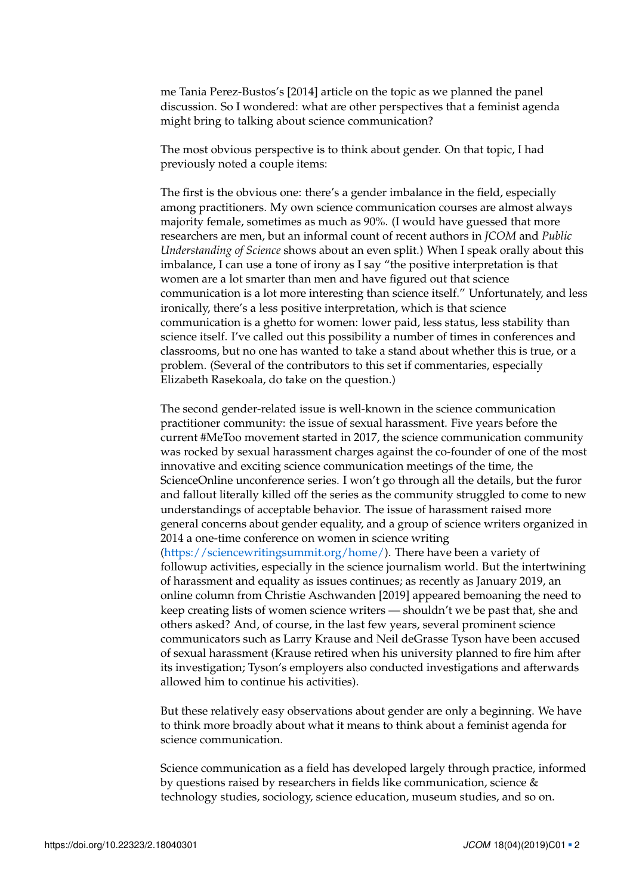me Tania Perez-Bustos's [\[2014\]](#page-3-3) article on the topic as we planned the panel discussion. So I wondered: what are other perspectives that a feminist agenda might bring to talking about science communication?

The most obvious perspective is to think about gender. On that topic, I had previously noted a couple items:

The first is the obvious one: there's a gender imbalance in the field, especially among practitioners. My own science communication courses are almost always majority female, sometimes as much as 90%. (I would have guessed that more researchers are men, but an informal count of recent authors in *JCOM* and *Public Understanding of Science* shows about an even split.) When I speak orally about this imbalance, I can use a tone of irony as I say "the positive interpretation is that women are a lot smarter than men and have figured out that science communication is a lot more interesting than science itself." Unfortunately, and less ironically, there's a less positive interpretation, which is that science communication is a ghetto for women: lower paid, less status, less stability than science itself. I've called out this possibility a number of times in conferences and classrooms, but no one has wanted to take a stand about whether this is true, or a problem. (Several of the contributors to this set if commentaries, especially Elizabeth Rasekoala, do take on the question.)

The second gender-related issue is well-known in the science communication practitioner community: the issue of sexual harassment. Five years before the current #MeToo movement started in 2017, the science communication community was rocked by sexual harassment charges against the co-founder of one of the most innovative and exciting science communication meetings of the time, the ScienceOnline unconference series. I won't go through all the details, but the furor and fallout literally killed off the series as the community struggled to come to new understandings of acceptable behavior. The issue of harassment raised more general concerns about gender equality, and a group of science writers organized in 2014 a one-time conference on women in science writing [\(https://sciencewritingsummit.org/home/\)](https://sciencewritingsummit.org/home/). There have been a variety of followup activities, especially in the science journalism world. But the intertwining of harassment and equality as issues continues; as recently as January 2019, an online column from Christie Aschwanden [\[2019\]](#page-3-4) appeared bemoaning the need to keep creating lists of women science writers — shouldn't we be past that, she and others asked? And, of course, in the last few years, several prominent science communicators such as Larry Krause and Neil deGrasse Tyson have been accused of sexual harassment (Krause retired when his university planned to fire him after its investigation; Tyson's employers also conducted investigations and afterwards allowed him to continue his activities).

But these relatively easy observations about gender are only a beginning. We have to think more broadly about what it means to think about a feminist agenda for science communication.

Science communication as a field has developed largely through practice, informed by questions raised by researchers in fields like communication, science & technology studies, sociology, science education, museum studies, and so on.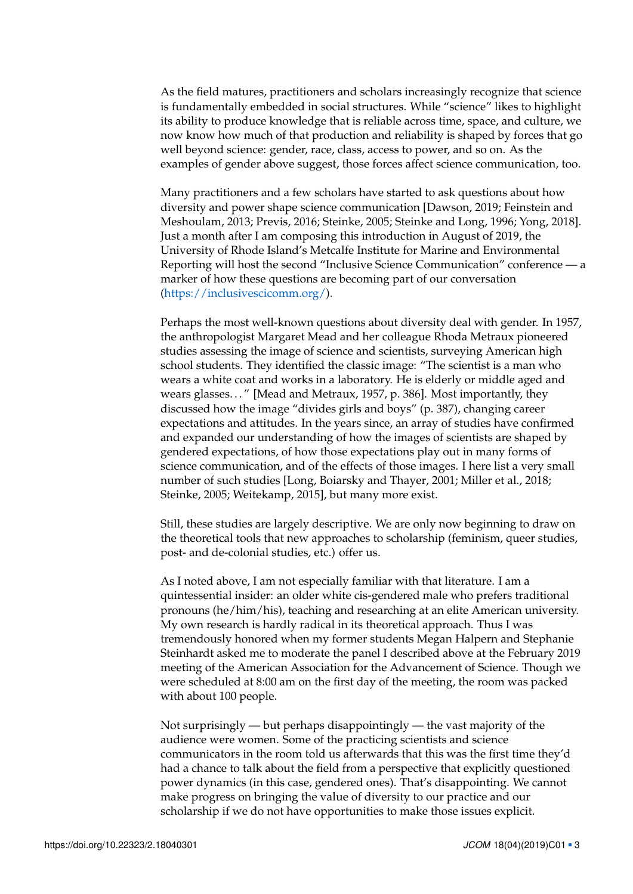As the field matures, practitioners and scholars increasingly recognize that science is fundamentally embedded in social structures. While "science" likes to highlight its ability to produce knowledge that is reliable across time, space, and culture, we now know how much of that production and reliability is shaped by forces that go well beyond science: gender, race, class, access to power, and so on. As the examples of gender above suggest, those forces affect science communication, too.

Many practitioners and a few scholars have started to ask questions about how diversity and power shape science communication [Dawson, [2019;](#page-3-5) Feinstein and Meshoulam, [2013;](#page-3-6) Previs, [2016;](#page-3-7) Steinke, [2005;](#page-3-8) Steinke and Long, [1996;](#page-3-9) Yong, [2018\]](#page-4-1). Just a month after I am composing this introduction in August of 2019, the University of Rhode Island's Metcalfe Institute for Marine and Environmental Reporting will host the second "Inclusive Science Communication" conference — a marker of how these questions are becoming part of our conversation [\(https://inclusivescicomm.org/\)](https://inclusivescicomm.org/).

Perhaps the most well-known questions about diversity deal with gender. In 1957, the anthropologist Margaret Mead and her colleague Rhoda Metraux pioneered studies assessing the image of science and scientists, surveying American high school students. They identified the classic image: "The scientist is a man who wears a white coat and works in a laboratory. He is elderly or middle aged and wears glasses. . . " [Mead and Metraux, [1957,](#page-3-10) p. 386]. Most importantly, they discussed how the image "divides girls and boys" (p. 387), changing career expectations and attitudes. In the years since, an array of studies have confirmed and expanded our understanding of how the images of scientists are shaped by gendered expectations, of how those expectations play out in many forms of science communication, and of the effects of those images. I here list a very small number of such studies [Long, Boiarsky and Thayer, [2001;](#page-3-11) Miller et al., [2018;](#page-3-12) Steinke, [2005;](#page-3-8) Weitekamp, [2015\]](#page-3-13), but many more exist.

Still, these studies are largely descriptive. We are only now beginning to draw on the theoretical tools that new approaches to scholarship (feminism, queer studies, post- and de-colonial studies, etc.) offer us.

As I noted above, I am not especially familiar with that literature. I am a quintessential insider: an older white cis-gendered male who prefers traditional pronouns (he/him/his), teaching and researching at an elite American university. My own research is hardly radical in its theoretical approach. Thus I was tremendously honored when my former students Megan Halpern and Stephanie Steinhardt asked me to moderate the panel I described above at the February 2019 meeting of the American Association for the Advancement of Science. Though we were scheduled at 8:00 am on the first day of the meeting, the room was packed with about 100 people.

Not surprisingly — but perhaps disappointingly — the vast majority of the audience were women. Some of the practicing scientists and science communicators in the room told us afterwards that this was the first time they'd had a chance to talk about the field from a perspective that explicitly questioned power dynamics (in this case, gendered ones). That's disappointing. We cannot make progress on bringing the value of diversity to our practice and our scholarship if we do not have opportunities to make those issues explicit.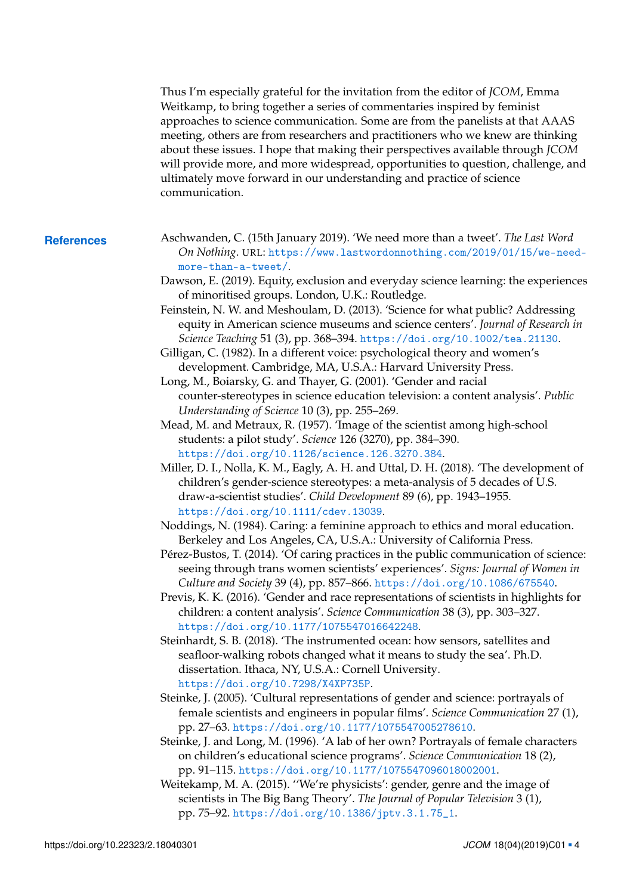Thus I'm especially grateful for the invitation from the editor of *JCOM*, Emma Weitkamp, to bring together a series of commentaries inspired by feminist approaches to science communication. Some are from the panelists at that AAAS meeting, others are from researchers and practitioners who we knew are thinking about these issues. I hope that making their perspectives available through *JCOM* will provide more, and more widespread, opportunities to question, challenge, and ultimately move forward in our understanding and practice of science communication.

- <span id="page-3-13"></span><span id="page-3-12"></span><span id="page-3-11"></span><span id="page-3-10"></span><span id="page-3-9"></span><span id="page-3-8"></span><span id="page-3-7"></span><span id="page-3-6"></span><span id="page-3-5"></span><span id="page-3-4"></span><span id="page-3-3"></span><span id="page-3-2"></span><span id="page-3-1"></span><span id="page-3-0"></span>**References** Aschwanden, C. (15th January 2019). 'We need more than a tweet'. *The Last Word On Nothing*. URL: [https://www.lastwordonnothing.com/2019/01/15/we-need](https://www.lastwordonnothing.com/2019/01/15/we-need-more-than-a-tweet/)[more-than-a-tweet/](https://www.lastwordonnothing.com/2019/01/15/we-need-more-than-a-tweet/).
	- Dawson, E. (2019). Equity, exclusion and everyday science learning: the experiences of minoritised groups. London, U.K.: Routledge.
	- Feinstein, N. W. and Meshoulam, D. (2013). 'Science for what public? Addressing equity in American science museums and science centers'. *Journal of Research in Science Teaching* 51 (3), pp. 368–394. <https://doi.org/10.1002/tea.21130>.
	- Gilligan, C. (1982). In a different voice: psychological theory and women's development. Cambridge, MA, U.S.A.: Harvard University Press.
	- Long, M., Boiarsky, G. and Thayer, G. (2001). 'Gender and racial counter-stereotypes in science education television: a content analysis'. *Public Understanding of Science* 10 (3), pp. 255–269.
	- Mead, M. and Metraux, R. (1957). 'Image of the scientist among high-school students: a pilot study'. *Science* 126 (3270), pp. 384–390. <https://doi.org/10.1126/science.126.3270.384>.
	- Miller, D. I., Nolla, K. M., Eagly, A. H. and Uttal, D. H. (2018). 'The development of children's gender-science stereotypes: a meta-analysis of 5 decades of U.S. draw-a-scientist studies'. *Child Development* 89 (6), pp. 1943–1955. <https://doi.org/10.1111/cdev.13039>.
	- Noddings, N. (1984). Caring: a feminine approach to ethics and moral education. Berkeley and Los Angeles, CA, U.S.A.: University of California Press.
	- Pérez-Bustos, T. (2014). 'Of caring practices in the public communication of science: seeing through trans women scientists' experiences'. *Signs: Journal of Women in Culture and Society* 39 (4), pp. 857–866. <https://doi.org/10.1086/675540>.
	- Previs, K. K. (2016). 'Gender and race representations of scientists in highlights for children: a content analysis'. *Science Communication* 38 (3), pp. 303–327. <https://doi.org/10.1177/1075547016642248>.
	- Steinhardt, S. B. (2018). 'The instrumented ocean: how sensors, satellites and seafloor-walking robots changed what it means to study the sea'. Ph.D. dissertation. Ithaca, NY, U.S.A.: Cornell University. <https://doi.org/10.7298/X4XP735P>.
	- Steinke, J. (2005). 'Cultural representations of gender and science: portrayals of female scientists and engineers in popular films'. *Science Communication* 27 (1), pp. 27–63. <https://doi.org/10.1177/1075547005278610>.
	- Steinke, J. and Long, M. (1996). 'A lab of her own? Portrayals of female characters on children's educational science programs'. *Science Communication* 18 (2), pp. 91–115. <https://doi.org/10.1177/1075547096018002001>.
	- Weitekamp, M. A. (2015). ''We're physicists': gender, genre and the image of scientists in The Big Bang Theory'. *The Journal of Popular Television* 3 (1), pp. 75–92. [https://doi.org/10.1386/jptv.3.1.75\\_1](https://doi.org/10.1386/jptv.3.1.75_1).